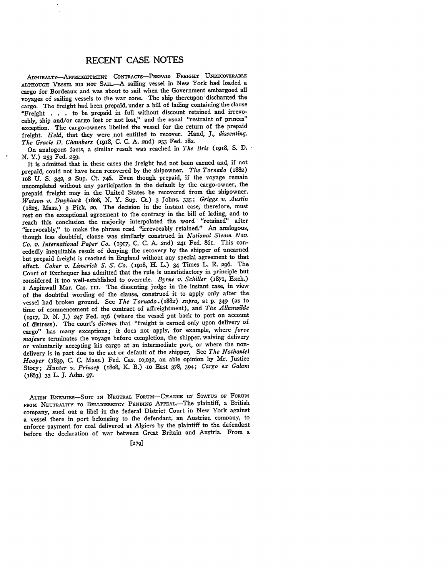## RECENT CASE NOTES

**ADMIRLTY-AFEIGHTMENT CoNTRACs-PREPAID FREIGHT UNRECOVERABLE** ALTHOUGH VESSEL DID NOT SAIL.-A sailing vessel in New York had loaded a cargo for Bordeaux and was about to sail when the Government embargoed all voyages of sailing vessels to the war zone. The ship thereupon discharged the cargo. The freight had been prepaid, under a bill of lading containing the clause "Freight . . . to be prepaid in full without discount retained and irrevocably, ship and/or cargo lost or not lost," and the usual "restraint of princes" exception. The cargo-owners libelled the vessel for the return of the prepaid freight. *Held,* that they were not entitled to recover. Hand, J., *dissenting. The Gracie D. Chambers* (1918, C. C. A. 2nd) 253 Fed. 182.

On analogous facts, a similar result was reached in *The Bris* (1918, S. D. N. Y.) **253** Fed. **259.**

It is admitted that in these cases the freight had not been earned and, if not prepaid, could not have been recovered by the shipowner. *The Tornado* (1882) io8 U. S. 342, **2** Sup. Ct. 746. Even though prepaid, if the voyage remain uncompleted without any participation in the default by the cargo-owner, the prepaid freight may in the United States be recovered from the shipowner. *Watson v. Duykinck* (i8o8, **N.** Y. Sup. C) 3 Johns. 335; *Griggs v. Austin* **(x825,** Mass.) 3 Pick. **20.** The decision in the instant case, therefore, must rest on the exceptional agreement to the contrary in the bill of lading, and to reach this conclusion the majority interpolated the word "retained" after "irrevocably," to make the phrase read "irrevocably retained." An analogous, though less doubtful, clause was similarly construed in *National Steam Nay. Co. v. International Paper Co.* (1917, **C. C. A.** 2nd) **241** Fed. 861. This concededly inequitable result of denying the recovery by the shipper of unearned but prepaid freight is reached in England without any special agreement to that effect. *Coker v. Limerick S. S. Co.* (1918, H. L.) 34 Times L. R. 296. The Court of Exchequer has admitted that the rule is unsatisfactory in principle but considered it too well-established to overrule. *Byrne v. Schiller* (1871, Exch.) **<sup>I</sup>**Aspinwall Mar. Cas. **III.** The dissenting judge in the instant case, in view of the doubtful wording of the clause, construed it to apply only after the vessel had broken ground. See *The Tornado. (i882) supra,* at p. 349 (as to time of commencement of the contract of affreightment), and *The Allanwilde* **(1917,** D. N. J.) **247** Fed. **236** (where the vessel put back to port on account of distress). The court's *dictum* that "freight is earned only upon delivery of cargo" has many exceptions; it does not apply, for example, where *force majeure* terminates the voyage before completion, the shipper. waiving delivery or voluntarily accepting his cargo at an intermediate port, or where the nondelivery is in part due to the act or default of the shipper. See *The Nathaniel Hooper* (1839, C. C. Mass.) Fed. Cas. **10,032,** an able opinion by Mr. Justice Story; *Hunter v. Prinsep* (18o8, K. B.) .io East 378, 394; *Cargo ex Galam* (1863) **33** L. **J.** Adm. *97.*

ALIEN ENEMIES-SUIT IN NEUTRAL FORUM-CHANGE IN STATUS OF FORUM FROM NEUTRALITY TO BELLIGERENCY PENDING APPEAL.-The plaintiff, a British company, sued out a libel in the federal District Court in New York against a vessel there in port belonging to the defendant, an Austrian comnany, to enforce payment for coal delivered at Algiers **by** the plaintiff to the defendant before the declaration of war between Great Britain and Austria. From a

**[279]**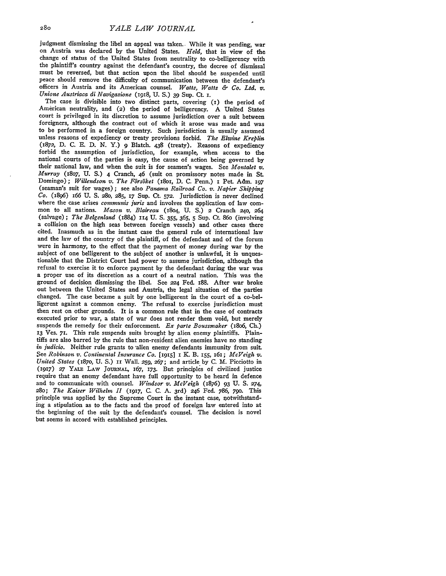judgment dismissing the libel an appeal was taken. While it was pending, war on Austria was declared **by** the United States. *Held,* that in view of the change of status of the United States from neutrality to co-belligerency with the plaintiff's country against the defendant's country, the decree of dismissal must be reversed, but that action upon the libel should be suspended until peace should remove the difficulty of communication between the defendant's officers in Austria and its American counsel. Watts, Watts & Co. Ltd. v.<br>Unione Austriaca di Navigazione (1918, U.S.) 39 Sup. Ct. 1.<br>The case is divisible into two distinct parts, covering (1) the period of

American neutrality, and **(2)** the period of belligerency. **A** United States court is privileged in its discretion to assume jurisdiction over a suit between foreigners, although the contract out of which it arose was made and was to be performed in a foreign country. Such jurisdiction is usually assumed unless reasons of expediency or treaty provisions forbid. *The ERwine Kreplin* **(1872, D. C. E. D.** *N.* Y.) **9** Blatch. 438 (treaty). Reasons of expediency forbid the assumption of jurisdiction, for example, when access to the national courts of the parties is easy, the cause of action being governed **by** their national law, and when the suit is for seamen's wages. See *Montalet v. Murray* (18o7, **U. S.)** 4 Cranch, 46 (suit on promissory notes made in St. Domingo); *Willendson v. The Fdrsaket* (i8ox, **D. C.** Penn.) **i** Pet. Adm. *<sup>197</sup>* (seaman's suit for wages) **;** see also *Panama Railroad Co. v. Napier Shipping Co.* (896) 166 **U. S. 28o, 285, 17** Sup. Ct. *572.* Jurisdiction is never declined where the case arises *communis juris* and involves the application of law com- mon to all nations. *Mason v. Blaireau* (1804, **U. S.) 2** Cranch **24o,** <sup>264</sup> (salvage) **;** *The Belgenland* (1884) **114 U. S. 355, 365, 5** Sup. Ct 86o (involving a collision on the high seas between foreign vessels) and other cases there cited. Inasmuch as in the instant case the general rule of international law and the law of the country of the plaintiff, of the defendant and of the forum were in harmony, to the effect that the payment of money during war **by** the subject of one belligerent to the subject of another is unlawful, it is unquestionable that the District Court had power to assume jurisdiction, although the refusal to exercise it to enforce payment **by** the defendant during the war was a proper use of its discretion as a court of a neutral nation. This was the ground of decision dismissing the libel. See **224** Fed. i88. After war broke out between the United States and Austria, the legal situation of the parties changed. The case became a suit **by** one belligerent in the court of a co-belligerent against a common enemy. The refusal to exercise jurisdiction must then rest on other grounds. It is a common rule that in the case of contracts executed prior to war, a state of war does not render them void, but merely suspends the remedy for their enforcement. *Ex parte Boussmaker* **(1806, Ch.) 13** Ves. *71.* This rule suspends suits brought **by** alien enemy plaintiffs. Plaintiffs are also barred **by** the rule that non-resident alien enemies have no standing *in judicio.* Neither rule grants to 'alien enemy defendants immunity from suit. *See Robinson v. Continental Insurance Co.* **[1915] I** K. B. **155, I61;** *McVeigh v'. United States* **(1870, U. S.) ii** Wall. **259,** *267;* and article **by C.** M. Picciotto in **(1917) 27 YALE: LAW JOURNAL, 167, 173.** But principles of civilized justice require that an enemy defendant have full opportunity to be heard in defence and to communicate with counsel. *Windsor v. McVeigh* (1876) **93 U. S. 274,** *280; The Kaiser Wilhelm 1I* **(1917, C. C. A.** 3rd) 246 Fed. **786, 79o.** This principle was applied **by** the Supreme Court in the instant case, rotwithstanding a stipulation as to the facts and the proof of foreign law entered into at the beginning of the suit **by** the defendant's counsel. The decision is novel but seems in accord with established principles.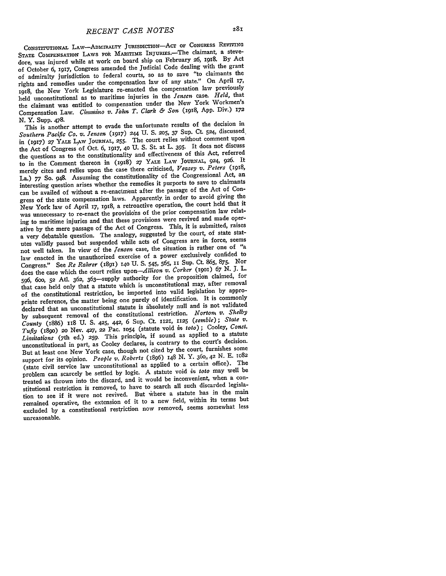CONSTITUTIONAL LAW-ADMIRALTY JURISDICTION-ACT OF CONGRESS REVIVING STATE COMPENSATION LAWS FOR MARITIME INJURIES.<sup>The claimant, a steve-</sup> dore, was injured while at work on board ship on February **26, I918. By** Act of October **6,** i917, Congress amended the Judicial Code dealing with the grant of admiralty jurisdiction to federal courts, so as to save "to claimants the rights and remedies under the compensation law of any state." On April **17, ign8, the New York Legislature re-enacted the compensation law previously** held unconstitutional as to maritime injuries in the *Jensen* case. *Held,* that the claimant was entitled to compensation under the New York Workmen's Compensation Law. *Cimmino v. John T. Clark & Son* (1918, App. Div.) 172 N. Y. Supp. 478.

This is another attempt to evade the unfortunate results of the decision in *Southern Pacific Co. v. Jensen* (1917) 244 **U. S. 205,** 37 Sup. Ct **524,** discussed, in (1917) 27 YALE LAW JOURNAL, 255. The court relies without comment upon the Act of Congress of Oct. 6, 1917, **40 U.** S. St. at L. 395. It does not discuss the questions as to the constitutionality and effectiveness of this Act, referred to in the Comment thereon in (1918) **27** YALE LAW **JOURNAL, 924,** 926. It merely cites and relies upon the case there criticised, *Veasey v. Peters* (1918, La.) 77 So. 948. Assuming the constitutionality of the Congressional Act, an interesting question arises whether the remedies it purports to save to claimants can be availed of without a re-enactment after the passage of the Act of Congress of the state compensation laws. Apparently. in order to avoid giving the New York law of April i7, 1918, a retroactive operation, the court held that it was unnecessary to re-enact the provisions of the prior compensation law relating to maritime injuries and that these provisions were revived and made operative by the mere passage of the Act of Congress. This, it is submitted, raises a very debatable question. The analogy, suggested by the court, of state statutes validly passed but suspended while acts of Congress are in force, seems not well taken. In view of the *Jensen* case, the situation is rather one of "a law enacted in the unauthorized exercise of a power exclusively confided to Congress." See *Re Rahrer* (18gi) **140** U. **S.** 545, 565, Il Sup. Ct. 865, 875. Nor does the case which the court relies upon-Allison *v. Corker (i9go)* 67 *N. J.* L. *596, 6o0,* **<sup>52</sup>**Atl. 362, 363-supply authority for the proposition claimed, for that case held only that a statute which is unconstitutional may, after removal of the constitutional restriction, be imported into valid legislation by appropriate reference, the matter being one purely of identification. It is commonly declared that an unconstitutional statute is ibsolutely null and is not validated by subsequent removal of the constitutional restriction. *Nortom v. Shelby County* (1886) 118 U. **S.** 425, 442, 6 Sup. Ct. **1121, 1125** *(semble); State v. Tufly* **(i8go)** 2o Nev. 427, 22 Pac. **1054** (statute void *in toto)* ; Cooley, *Const. Limitations* (7th ed.) **259.** This principle, if sound as applied to a statute unconstitutional in part, as Cooley declares, is contrary to the court's decision. But at least one New York case, though not cited by the court, furnishes some support for its opinion. *People v. Roberts* (1896) 148 **N.** Y. 36o, 42 N. E. io82 (state civil service law unconstitutional as applied to a certain office). The problem can scarcely be settled by logic. A statute void *in toto* may well be treated as thrown into the discard, and it would be inconvenient, when a constitutional restriction is removed, to have to search all such discarded legislation to see if it were not revived. But where a statute has in the main remained operative, the extension of it to a new field, within its terms but excluded by a constitutional restriction now removed, seems somewhat less unreasonable.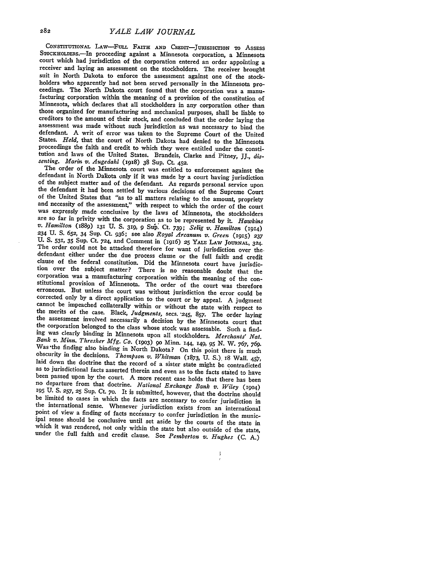**CONSTITUTIONAL** LAW-FULL FAITH **AND CREDIT-JURISDICTION TO ASSESS** STOCKHOLDERS.-In proceeding against a Minnesota corporation, a Minnesota court which had jurisdiction of the corporation entered an order appointing a court which had jurisdiction of the corporation entered an order appointing a receiver and laying a assessment on the stockholders. The receiver brought suit in North Dakota to enforce the assessment against one of the st

U. S. 537, 35 Sup. Ct. 724, and Comment in (1916) 25 YALE LAW Jouxna, 324<br>
The order could not be attacked therefore for van to furishiction over the<br>defendant either under the due process clause or the full finit and cre

ţ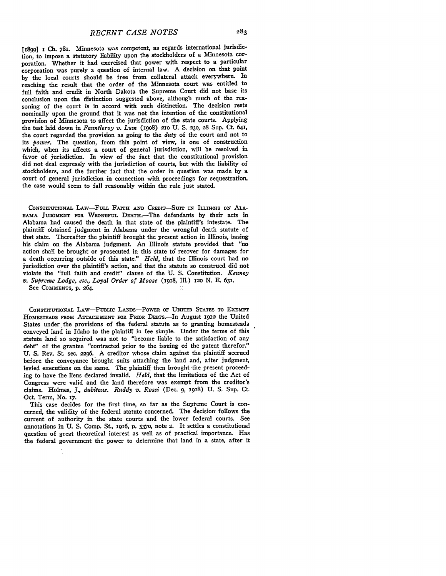[1899] I Ch. 781. Minnesota was competent, as regards international jurisdiction, to impose a statutory liability upon the stockholders of a Minnesota corporation. Whether it had exercised that power with respect to a particular corporation was purely a question of internal law. A decision on that point **by** the local courts should be free from collateral attack everywhere. In reaching the result that the order of the Minnesota court was entitled to full faith and credit in North Dakota the Supreme Court did not base its conclusion upon the distinction suggested above, although much of the reasoning of the court is in accord with such distinction. The decision rests nominally upon the ground that it was not the intention of the constitutional provisfon of Minnesota to affect the jurisdiction of the state courts. Applying the test laid down in *Fauntleroy v. Lum* (1908) 210 **U. S. 230, 28** Sup. **Ct.** 641, the court regarded the provision as going to the *duty* of the court and not to its *power.* The question, from this point of view, is one of construction which, when its affects a court of general jurisdiction, will be resolved in favor of jurisdiction. In view of the fact that the constitutional provision did not deal expressly with the jurisdiction of courts, but with the liability of stockholders, and the further fact that the order in question was made **by** a court of general jurisdiction in connection with proceedings for sequestration, the case would seem to fall reasonably within the rule just stated.

CONSTITUTIONAL LAW-FULL FAITH AND CREDIT-SUIT IN ILLINOIS ON ALA-BAMA **JUDGMENT FOR** WRONGFUL DEATH.-The defendants **by** their acts in Alabama had caused the death in that state of the plaintiff's intestate. The plaintiff obtained judgment in Alabama under the wrongful death statute of that state. Thereafter the plaintiff brought the present action in Illinois, basing his claim on the Alabama judgment. An Illinois statute provided that "no action shall be brought or prosecuted in this state **to"** recover for damages for a death occurring outside of this state." *Held,* that the Illinois court had no jurisdiction over the plaintiff's action, and that the statute so construed did not violate the "full faith and credit" clause of the **U. S.** Constitution. *Kenney v. Supreme Lodge, etc., Loyal Order of Moose* (1918, Ill.) *12o* **N. E. 631.** See **COMMENTS, p.** 264.

CONSTITUTIONAL LAw-PuBLIc LANDS-POWER OF UNITED **STATES** TO EXEMPT HOMESTEADS FROM ATTACHMENT FOR PRIOR DEBTS.-In August 1912 the United States under the provisions of the federal statute as to granting homesteads conveyed land in Idaho to the plaintiff in fee simple. Under the terms of this statute land so acquired was not to "become liable to the satisfaction of any debt" of the grantee "contracted prior to the issuing of the patent therefor." **U. S.** Rev. **St.** sec. **2296. A** creditor whose claim against the plaintiff accrued before the conveyance brought suits attaching the land and, after judgment, levied executions on the same. The plaintiff then brought the present proceeding to have the liens declared invalid. *Held,* that the limitations of the Act of Congress were valid and the land therefore was exempt from the creditor's claims. Holmes, **J.,** *dubitans. Ruddy v. Rossi* (Dec. **9, 1918) U. S.** Sup. Ct. Oct. Term, No. **17.**

This case decides for the first time, so far as the Supreme Court is concerned, the validity of the federal statute concerned. The decision follows the current of authority in the state courts and the lower federal courts. See annotations in **U. S.** Comp. St., 1916, **p.** 537o, note **2.** It settles a constitutional question of great theoretical interest as well as of practical importance. Has the federal government the power to determine that land in a state, after it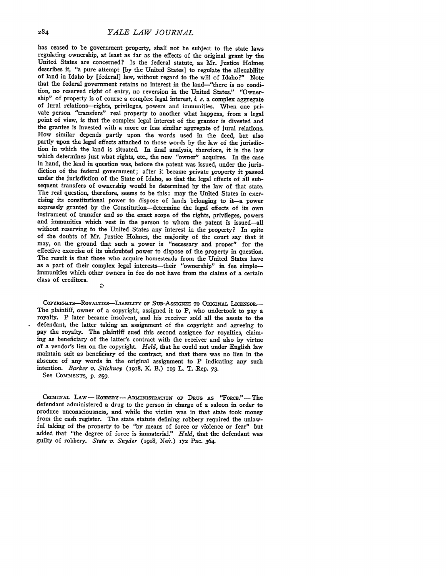has ceased to be government property, shall not be subject to the state laws regulating ownership, at least as far as the effects of the original grant by the United States are concerned? Is the federal statute, as Mr. Justice Holmes describes it, "a pure attempt [by the United States] to regulate the alienability of land in Idaho by [federal] law, without regard to the will of Idaho?" Note that the federal government retains no interest in the land-"there is no condition, no reserved right of entry, no reversion in the United States." "Ownership" of property is of course a complex legal interest, *i.* e. a complex aggregate of jural relations-rights, privileges, powers and immunities. When one private person "transfers" real property to another what happens, from a legal point of view, is that the complex legal interest of the grantor is divested and the grantee is invested with a more or less similar aggregate of jural relations. How similar depends partly upon the words used in the deed, but also partly upon the legal effects attached to those words by the law of the jurisdiction in which the land is situated. In final analysis, therefore, it is the law which determines just what rights, etc., the new "owner" acquires. In the case in hand, the land in question was, before the patent was issued, under the jurisdiction of the federal government; after it became private property it passed under the jurisdiction of the State of Idaho, so that the legal effects of all subsequent transfers of ownership would be determined by the law of that state. The real question, therefore, seems to be this: may the United States in exercising its constitutional power to dispose of lands belonging to it-a power expressly granted **by** the Constitution-determine the legal effects of its own instrument of transfer and so the exact scope of the rights, privileges, powers and immunities which vest in the person to whom the patent is issued-all without reserving to the United States any interest in the property? In spite of the doubts of Mr. Justice Holmes, the majority of the court say that it may, on the ground that such a power is "necessary and proper" for the effective exercise of its undoubted power to dispose of the property in question.<br>The result is that those who acquire homesteads from the United States have<br>as a part of their complex legal interests—their "ownership" in class of creditors.  $\mathcal{D}$ 

COPYRIGHTS-ROYALTIES-LIABILITY OF SUB-ASSIGNEE TO ORIGINAL LICENSOR.<sup>1</sup><br>The plaintiff, owner of a copyright, assigned it to P, who undertook to pay a royalty. P later became insolvent, and his receiver sold all the assets to the defendant, the latter taking an assignment of the copyright and agreeing to pay the royalty. The plaintiff sued this second assignee for royalties, claiming as beneficiary of the latter's contract with the receiver and also **by** virtue **of** a vendor's lien on the copyright *Held,* that he could not under English law maintain suit as beneficiary of the contract, and that there was no lien in the absence of any words in the original assignment to P indicating any such intention. *Barker v. Stickney (1918, K.* B.) 11g L. T. Rep. **73.**

**CRIMINAL LAw-RoRBERY--ADmINISTRATION OF DRUG AS 'FoRcE."-The** defendant administered a drug to the person in charge of a saloon in order to produce unconsciousness, and while the victim was in that state took money from the cash register. The state statute defining robbery required the unlawful taking of the property to be "by means of force or violence or fear" but added that "the degree of force is immaterial." *Held,* that the defendant was guilty of robbery. *State v. Snyder* (1918, Nev.) 172 Pac. 364.

See **COMMENTS,** P. **259.**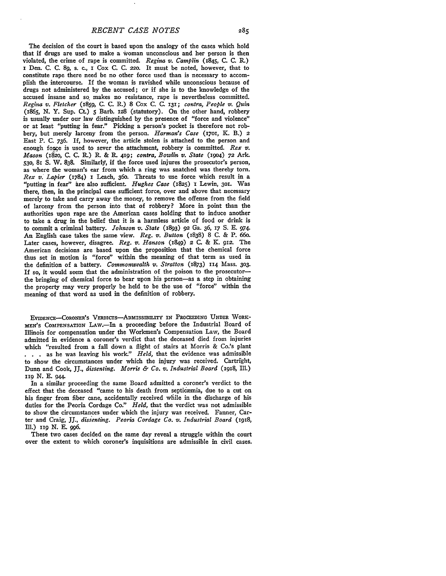The decision of the court is based upon the analogy of the cases which hold that if drugs are used to make a woman unconscious and her person is then violated, the crime of rape is committed. *Regina v. Camplin* (1845, C. C. R.) **I** Den. C. C. **89,** s. c., **I** Cox C. C. **22o.** It must be noted, however, that to constitute rape there need be no other force used than is necessary to accomplish the intercourse. If the woman is ravished while unconscious because of drugs not administered by the accused; or if she is to the knowledge of the accused insane and so makes no resistance, rape is nevertheless committed. *Regina v. Fletcher* (i859, **C. C.** R.) 8 Cox **C. C.** 131; *contra, People v. Quin* (1865, **N.** Y. Sup. Ct.) **5** Barb. **128** (statutory). On the other hand, robbery is usually under our law distinguished by the presence of "force and violence" or at least "putting in fear." Picking a person's pocket is therefore not robbery, but merely larceny from the person. *Harman's Case* **(17O1,** K. B.) 2 East P. **C. 736.** If, however, the article stolen is attached to the person and enough force is used to sever the attachment, robbery is committed. *Rex v. Mason* (182o, **C. C. R.) R.** & **R. 419;** *contra, Bowlin v. State* **(19o4)** *72* Ark. **530,** 81 **S.** W. **838.** Similarly, if the force used injures the prosecutor's person, as where the woman's ear from which a ring was snatched was thereby torn. *Rex v. Lapier* (1784) 1 Leach, 36o. Threats to use force which result in a "putting in fear" **hre** also sufficient. *Hughes Case* **(1825) I** Lewin, **301.** Was there, then, in the principal case sufficient force, over and above that necessary merely to take and carry away the money, to remove the offense from the field of larceny from the person into that of robbery? More in point than the authorities upon rape are the American cases holding that to induce another to take a drug in the belief that it is a harmless article of food or drink is to commit a criminal battery. *Johnson v. State* (1893) 92 Ga. 36, **17 S. E. 974.** An English case takes the same view. *Reg. v. Button* (1838) 8 **C.** & P. *66o.* Later cases, however, disagree. *Reg. v. Hanson* (1849) 2 **C.** & K. *912.* The American decisions are based upon the proposition that the chemical force thus set in motion is "force" within the meaning of that term as used in the definition of a battery. *Commonwealth v. Stratton* (1873) 114 Mass. **303.** If so, it would seem that the administration of the poison to the prosecutorthe bringing of chemical force to bear upon his person-as a step in obtaining the property may very properly be held to be the use of "force" within the meaning of that word as used in the definition of robbery.

**EvmENCE-CORONna's** VERDicTS-ADMISSlBILITY **IN PROCEEDING UNDER** WORK-**MEN'S COMPENSATION** LAw.-In a proceeding before the Industrial Board of Illinois for compensation under the Workmen's Compensation Law, the Board admitted in evidence a coroner's verdict that the deceased died from injuries which "resulted from a fall down a flight of stairs at Morris & Co.'s plant **. . .** as he was leaving his work." *Held,* that the evidence was admissible to show the circumstances under which the injury was received. Cartright, Dunn and Cook, JJ., *dissenting. Morris & Co. v. Industrial Board* **(1918,** IIl.) *i1g* **N. E.** 944.

In a similar proceeding the same Board admitted a coroner's verdict to the effect that the deceased "came to his death from septicamia, due to a cut on his finger from fiber cane, accidentally received while in the discharge of his duties for the Peoria Cordage Co." *Held,* that the verdict was not admissible to show the circumstances under which the injury was received. Fanner, Carter and Craig, JJ., *dissenting. Peoria Cordage Co. v,. Industrial Board* (1918, Ili.) 11g N. E. *996.*

These two cases decided on the same day reveal a struggle within the court over the extent to which coroner's inquisitions are admissible in civil cases.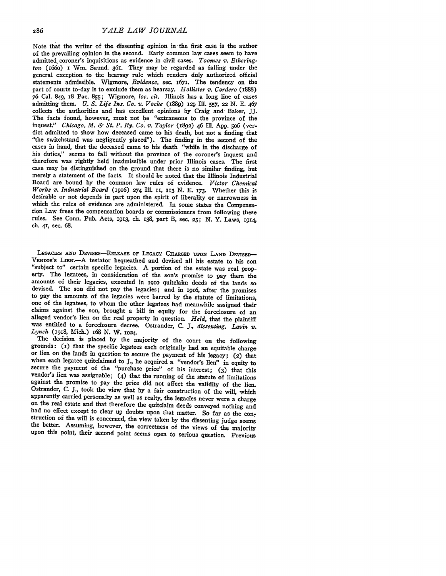Note that the writer of the dissenting opinion in **the** first case is the author of the prevailing opinion in the second. Early common law cases seem to have admitted, coroner's inquisitions as evidence in civil cases. *Toomes v. Etherington* (i66o) i Win. Saund. 361. They may be regarded as falling under the general exception to the hearsay rule which renders duly authorized official statements admissible. Wigmore, *Evidence,* sec. 1671. The tendency on the part of courts to-day is to exclude them as hearsay. *Hollister v. Cordero* (1888) **<sup>76</sup>**Cal. 849, 18 Pac. **855;** Wigmore, **loc.** *cit.* Illinois has a long line of cases admitting them. *U. S. Life Ins. Co. v. Vocke* (1889) 129 Ill. **557,** 22 N. **E.** <sup>467</sup> collects the authorities and has excellent opinions **by** Craig and Baker, **JJ.** The facts found, however, must not be "extraneous to the province of the inquest." *Chicago, M. & St. P. Ry. Co. v. Taylor* (1892) 46 Ill. App. 5o6 (verdict admitted to show how deceased came to his death, but not a finding that "the switchstand was negligently placed"). The finding in the second of the cases in hand, that the deceased came to his death "while in the discharge of his duties," seems to fall without the province of the coroner's inquest and therefore was rightly held inadmissible under prior Illinois cases. The first case may be distinguished on the ground that there is no similar finding, but merely a statement of the facts. It should be noted that the Illinois Industrial Board are bound **by** the common law rules of evidence. *Victor Chemical Works v. Industrial Board* (1916) **274** Ill. **IX, 113 N. E.** 173. Whether this is desirable or not depends in part upon the spirit of liberality or narrowness in which the rules of evidence are administered. In some states the Compensation Law frees the compensation boards or commissioners from following these rules. See Conn. Pub. Acts, **1913,** ch. 138, part B, see. **25; N.** Y. Laws, 19x4, ch. **41,** see. **68.**

LEGACIES AND DEVISES-RELEASE OF LEGACY CHARGED UPON LAND DEVISED-**VENDOR'S** LiEN-A testator bequeathed and devised all his estate to his son "subject to" certain specific legacies. A portion of the estate was real property. The legatees, in consideration of the son's promise to pay them the amounts of their legacies, executed in gio quitclaim deeds of the lands so devised. The son did not pay the legacies; and in 1916, after the promises to pay the amounts of the legacies were barred by the statute of limitations, one of the legatees, to whom the other legatees had meanwhile assigned their alleged vendor's lien on the real property in question. Held, that the plaintiff was entitled to a foreclosure decree. Ostrander, C. J., dissenting. Lavin v. *Lynch* (1918, Mich.) 168 **N.** W. io24.

The decision is placed **by** the majority of the court on the following grounds: **(I)** that the specific legatees each originally had an equitable charge or lien on the lands in question to secure the payment of his legacy; **(2)** that when each legatee quitclaimed to J., he acquired a "vendor's lien" in equity to secure the payment of the "purchase price" of his interest; **(3)** that this vendor's lien was assignable; (4) that the running of the statute of limitations against the promise to pay the price did not affect the validity of the lien. Ostrander, C. J., took the view that **by** a fair construction of the will, which apparently carried personalty as well as realty, the legacies never were a charge on the real estate and that therefore the quitclaim deeds conveyed nothing and had no effect except to clear up doubts upon that matter. So far as the construction of the will is concerned, the view taken by the dissenting judge seems the better. Assuming, however, the correctness of the views of the upon this point, their second point seems open to serious question. Previous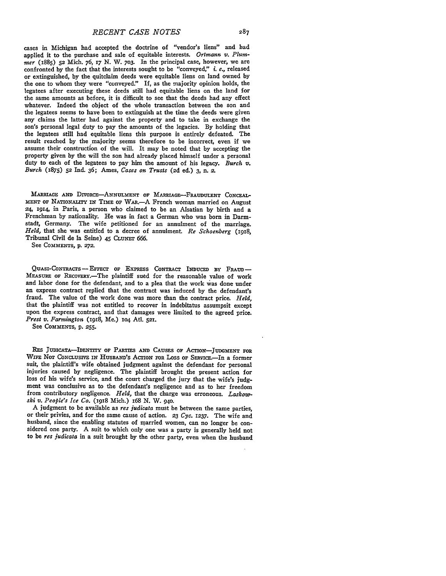cases in Michigan had accepted the doctrine of "vendor's liens" and bad applied it to the purchase and sale of equitable interests. *Ortmann v. Plummer* (1885) **52** Mich. **76,** *17* N. W. **703.** In the principal case, however, we are confronted **by** the fact that the interests sought to be "conveyed," *i.* e., released or extinguished, **by** the quitclaim deeds were equitable liens on land owned **by** the one to whom they were "conveyed." If, as the majority opinion holds, the legatees after executing these deeds still had equitable liens on the land for the same amounts as before, it is difficult to see that the deeds had any effect whatever. Indeed the object of the whole transaction between the son and the legatees seems to have been to extinguish at the time the deeds were given any claims the latter had against the property and to take in exchange the son's personal legal duty to pay the amounts of the legacies. By holding that the legatees still had equitable liens this purpose is entirely defeated. The result reached **by** the majority seems therefore to be incorrect, even if we assume their construction of the will. It may be noted that by accepting the property given **by** the will the son had already placed himself under a personal duty to each of the legatees to pay him the amount of his legacy. *Burch v. Burch* (1875) **52** Ind. **36;** Ames, *Cases on Trusts* **(2d** ed.) 3, n. **2.**

MARRIAGE AND DIVORCE-ANNULMENT OF MARRIAGE-FRAUDULENT CONCEAL-**MENT OF NATIONALITY IN TIME OF** WAR.-A French woman married on August *24,* **1914,** in Paris, a person who claimed to be an Alsatian **by** birth and a Frenchman **by** nationality. He was in fact a German who was born in Darmstadt, Germany. The wife petitioned for an annulment of the marriage. *Held,* that she was entitled to a decree of annulment. *Re Schoenberg (1918,* Tribunal Civil de **la** Seine) 45 **CLUNET** 666.

See **COMMENTS, p. 272.**

**QUAsi-CoNTRAcTs-EFFECT OF** ExPREss CoNTRAcT INDUcED BY FRAUD-**MEAsURE OF RECOVERY.-The** plaintiff sued for the reasonable value of work and labor done for the defendant, and to a plea that the work was done under an express contract replied that the contract was induced by the defendant's fraud. The value of the work done was more than the contract price. *Held,* that the plaintiff was not entitled to recover in indebitatus assumpsit except upon the express contract, and that damages were limited to the agreed price. *Prest v. Farmington* (1918, Me.) **IO4** Atl. 52x.

See **COMMENTS,** p. **255.**

**RFs JuDiCATA-IDExTITY OF PARTIES AND CAUSES** OF **ACTION-JDGMENT** FOR WIFE NOT CONCLUSIVE IN HUSBAND'S ACTION FOR LOSS OF SERVICE.-In a former suit, the plaintiff's wife obtained judgment against the defendant for personal injuries caused **by** negligence. The plaintiff brought the present action for loss of his wife's service, and the court charged the jury that the wife's **judg**ment was conclusive as to the defendant's negligence and as to her freedom from contributory negligence. *Held,* that the charge was erroneous. *Laskozvski v. People's Ice Co.* (igi8 Mich.) 168 **N.** W. **940.**

**A** judgment to be available as *res judicata* must be between the same parties, or their privies, and for the same **cause of action. 23** *Cyc.* **1237.** The wife and husband, since the enabling statutes of married women, can no longer be considered one party. A suit to which only one was a party is generally held not to be *res judicata* in a suit brought **by** the other party, even when the husband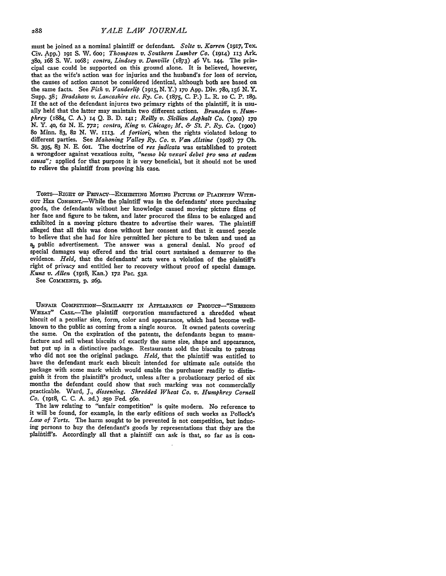must be joined as a nominal plaintiff or defendant. *Solte v. Karren* (1917, **Tex.** Civ. App.) 191 S. W. 6oo; *Thompson v. Southern Lumber Co.* (1914) **113** Ark. 38o, 168 S. W. io68; *contra, Lindsey v. Danville* (1873) 46 Vt. 144. The principal case could be supported on this ground alone. It is believed, however, that as the wife's action was for injuries and the husband's for loss of service, the causes of action cannot be considered identical, although both are based on the same facts. See *Fish v. Vanderlip* (1915, *N.* Y.) *17o* App. Div. 78o, 156 N.Y. Supp. **38;** *Bradshaw v. Lancashire etc. Ry. Co.* (1875, **C.** P.) L. R. Io **C.** P. i89. If the act of the defendant injures two primary rights of the plaintiff, it is usu- ally held that the latter may maintain two different actions. *Brunsden v. Humphrey* (1884, **C. A.)** 14 Q. B. **D.** 141; *Reilly v. Sicilian Asphalt Co.* **(192) 170 N.** Y. **4o,** 62 N. **E. 772;** *contra, King v. Chicago; M. & St. P. Ry. Co.* **(1goo)** 8o Minn. **83, 82 N.** W. **1113.** *A fortiori,* when the rights violated belong to different parties. See *Mahoning Valley Ry. Co. v. Van Alstine* (igos) **77** Oh. **St. 395, 83 N. E.** 6oi. The doctrine of *res judicata* was established to protect a wrongdoer against vexatious suits, *"nemo bis vexari debet pro una et eadem causa";* applied for that purpose it is very beneficial, but it should not be used to relieve the plaintiff from proving his case.

**TORTs-RIGHT OF PRIVACY-EXHIBITING MOVING** PIcrURE **OF PLAINTIFF** WITH-**OUT HER** CONSENT.-While the plaintiff was in the defendants' store purchasing goods, the defendants without her knowledge caused moving picture films of her face and figure to be taken, and later procured the films to be enlarged and exhibited in a moving picture theatre to advertise their wares. The plaintiff alleged that all this was done without her consent and that it caused people to believe that she had for hire permitted her picture to be taken and used as  $a_a$  public advertisement. The answer was a general denial. No proof of special damages was offered and the trial court sustained a demurrer to the evidence. *Held,* that the defendants' acts were a violation of the plaintiff's right of privacy and entitled her to recovery without proof of special damage. *Kunz v. Allen* (1918, Kan.) **172** Pac. **532.**

See **COmmENTS, p. 269.**

**UNFAIR ComPETITION-SImILARITY IN APPEARANcE OF PRODUCT-"SHREDDED** WHEAT" CASE-The plaintiff corporation manufactured a shredded wheat biscuit of a peculiar size, form, color and appearance, which had become wellknown to the public as coming from a single source. It owned patents covering the same. On the expiration of the patents, the defendants began to manufacture and sell wheat biscuits of exactly the same size, shape and appearance, but put up in a distinctive package. Restaurants sold the biscuits to patrons who did not see the original package. *Held,* that the plaintiff was entitled to have the defendant mark each biscuit intended for ultimate sale outside the package with some mark which would enable the purchaser readily to distinguish it from the plaintiff's product, unless after a probationary period of six months the defendant could show that such marking was not commercially practicable. Ward, *J., dissenting. Shredded Wheat Co. v. Humphrey Cornell Co.* (1918, **C. C. A.** 2d.) **250** Fed. 96o.

The law relating to "unfair competition" is quite modern. No reference to it will be found, for example, in the early editions of such works as Pollock's *Law of Torts.* The harm sought to be prevented is not competition, but inducing persons to buy the defendant's goods by representations that they are the plaintiff's. Accordingly all that a plaintiff can ask is that, so **far** as is con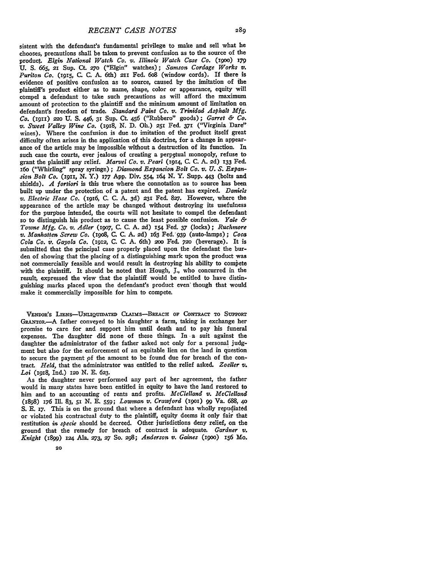sistent with the defendant's fundamental privilege to make and sell what he chooses, precautions shall be taken to prevent confusion as to the source of the product. *Elgin National Watch Co. v. Illinois Watch Case Co.* (igoo) **<sup>179</sup> U. S.** *665, 21* Sup. **Ct.** 27o ("Elgin" watches); *Samson Cordage Works v. Puriton Co.* **(i915, C. C. A.** 6th) **211** Fed. 6o8 (window cords). If there is evidence of positive confusion as to source, caused **by** the imitation of **the** plaintiff's product either as to name, shape, color or appearance, equity will compel a defendant to take such precautions as will afford the maximum amount of protection to the plaintiff and the minimum amount of limitation on defendant's freedom of **trade.** *Standard Paint Co. v. Trinidad Asphalt Mfg. Co.* **(I9ig) 22o U. S. 446, 31** Sup. **Ct.** 456 ("Rubbero" goods); *Garret & Co. v. Sweet Valley Wine Co. (1918,* **N. D.** Oh.) *251* Fed. **371** ("Virginia Dare" wines). Where the confusion is due to imitation of the product itself great difficulty often arises in the application of this doctrine, for a change **in** appearance of the article may be impossible without a destruction of its function. In such case the courts, ever jealous of creating a perpgtual monopoly, refuse to grant the plaintiff any relief. *Marvel Co. v. Pearl* **(1914, C. C. A.** *2d)* 133 Fed. **X6o** ("Whirling" spray syringe); *Diamond Expansion Bolt Co. v. U. S. Expan***sion** *Bolt Co. (ig1,* **N.** Y.) **177 App.** Div. **554,** 164 **N.** Y. Supp. 443 (bolts and shields). *A fortiori* is this true where the connotation as to source has been built up under the protection of a patent and the patent has expired. *Daniels v. Electric Hose Co.* (I9i6, **C. C. A. 3d) 23x** Fed. **827.** However, where the appearance of the article may be changed without destroying its usefulness for the purpbse intended, the courts will not hesitate to compel the defendant so to distinguish his product as to cause the least possible confusion. *Yale & Towne Mfg. Co. v. Adler* (i9o7, **C. C. A. 2d) 154** Fed. **37** (locks); *Ruchmore v. Manhatten Screw Co.* (i9o8, **C. C. A. 2d) 163** Fed.'939 (auto-lamps); *Coca Cola Co. v. Gayola Co.* **(1912, C. C. A.** 6th) **2oo** Fed. **72o** (beverage). It is submitted that the principal case properly placed upon the defendant the burden of showing that the placing of a distinguishing mark upon the product was not commercially feasible and would result in destroying his ability to combete with the plaintiff. It should be noted that Hough, **J.,** who concurred in the **result,** expressed the view that the plaintiff would be entitled to have distinguishing marks placed upon the defendant's product even' though that would make it commercially impossible for him to compete.

**VENDOR'S LINs-UNLIQUIDATED** CLAIMs-BREAcm **OF CONTRAcT TO SuppoRT** GRANTOR.-A father conveyed to his daughter a farm, taking in exchange her promise to care for and support him until death and to pay his funeral expenses. The daughter did none of these things. In a suit against the daughter the administrator of the father asked not only for a personal **judg**ment but also for the enforcement of an equitable lien on the land in question to secure the payment **pf** the amount to be found due for breach of the contract. *Held,* that the administrator was entitled to the relief asked. *Zoeller v. Loi* **(i918, Ind.) 12o N. E. 623.**

As the daughter never performed any part of her agreement, the father would in many states have been entitled in equity to have the land restored to him and to an accounting of rents and profits. *McClelland V. McClelland* (1898) **176 Ill. 83, 51 N. E. 559;** *Lowman v. Craurford* (igoi) **99** Va. **688, 4o** S. E. 17. This is on the ground that where a defendant has wholly repudiated or violated his contractual duty to the plaintiff, equity deems it only fair that restitution *in specie* should be decreed. Other jurisdictions deny relief, on the ground that the remedy for breach of contract is adequate. *Gardner v. Knight* (i899) **124** Ala. **273, 27** So. **298;** *Anderson v. Gaines* (igoo) **156** Mo.